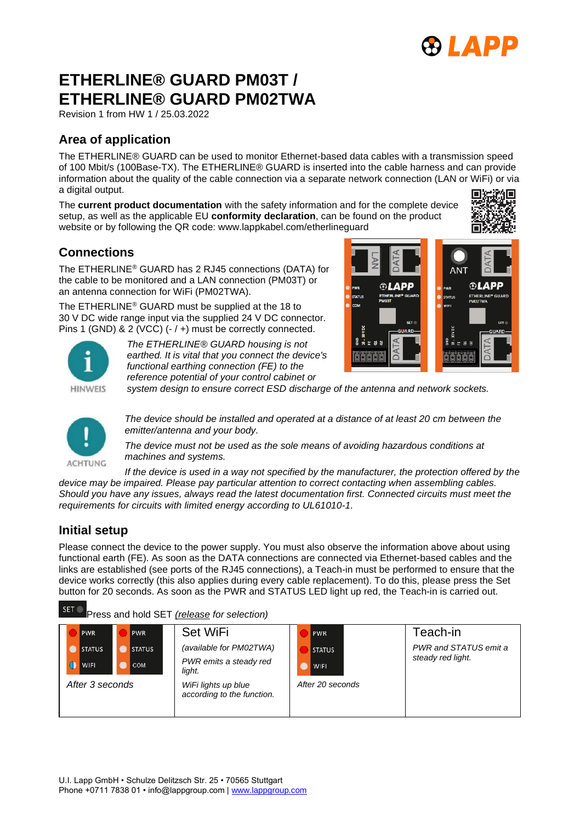

# **ETHERLINE® GUARD PM03T / ETHERLINE® GUARD PM02TWA**

Revision 1 from HW 1 / 25.03.2022

#### **Area of application**

The ETHERLINE® GUARD can be used to monitor Ethernet-based data cables with a transmission speed of 100 Mbit/s (100Base-TX). The ETHERLINE® GUARD is inserted into the cable harness and can provide information about the quality of the cable connection via a separate network connection (LAN or WiFi) or via a digital output.

The **current product documentation** with the safety information and for the complete device setup, as well as the applicable EU **conformity declaration**, can be found on the product website or by following the QR code: www.lappkabel.com/etherlineguard



## **Connections**

The ETHERLINE® GUARD has 2 RJ45 connections (DATA) for the cable to be monitored and a LAN connection (PM03T) or an antenna connection for WiFi (PM02TWA).

The ETHERLINE® GUARD must be supplied at the 18 to 30 V DC wide range input via the supplied 24 V DC connector. Pins 1 (GND) & 2 (VCC) (-/+) must be correctly connected.



*The ETHERLINE® GUARD housing is not earthed. It is vital that you connect the device's functional earthing connection (FE) to the reference potential of your control cabinet or* 





*The device should be installed and operated at a distance of at least 20 cm between the emitter/antenna and your body.*

*system design to ensure correct ESD discharge of the antenna and network sockets.*

*The device must not be used as the sole means of avoiding hazardous conditions at machines and systems.*

**ACHTUNG** *If the device is used in a way not specified by the manufacturer, the protection offered by the device may be impaired. Please pay particular attention to correct contacting when assembling cables. Should you have any issues, always read the latest documentation first. Connected circuits must meet the requirements for circuits with limited energy according to UL61010-1.*

#### **Initial setup**

Please connect the device to the power supply. You must also observe the information above about using functional earth (FE). As soon as the DATA connections are connected via Ethernet-based cables and the links are established (see ports of the RJ45 connections), a Teach-in must be performed to ensure that the device works correctly (this also applies during every cable replacement). To do this, please press the Set button for 20 seconds. As soon as the PWR and STATUS LED light up red, the Teach-in is carried out.

SET<sup>O</sup> Press and hold SET *(release for selection)*

| <b>PWR</b><br><b>PWR</b>       | Set WiFi                                          | <b>PWR</b>       | Teach-in.             |
|--------------------------------|---------------------------------------------------|------------------|-----------------------|
| <b>STATUS</b><br><b>STATUS</b> | (available for PM02TWA)                           | <b>STATUS</b>    | PWR and STATUS emit a |
| WIFI<br><b>COM</b>             | PWR emits a steady red<br>light.                  | <b>WIFI</b>      | steady red light.     |
| After 3 seconds                | WiFi lights up blue<br>according to the function. | After 20 seconds |                       |